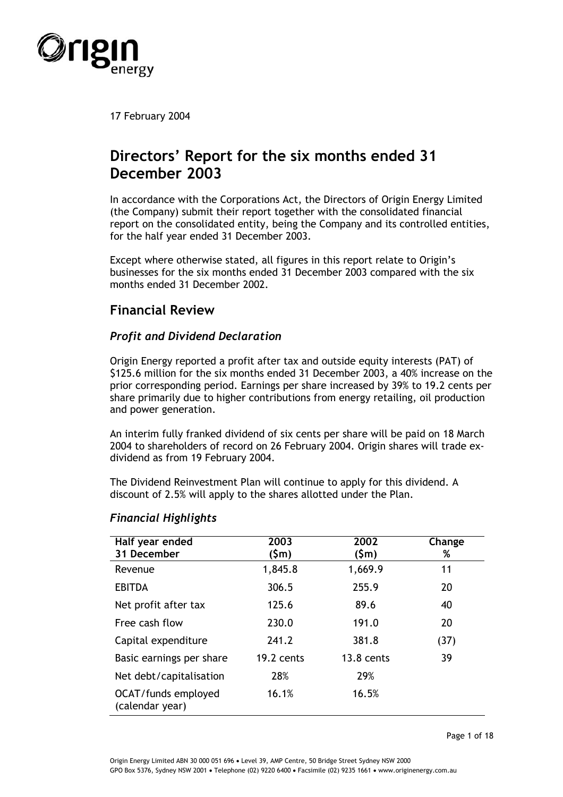

17 February 2004

# **Directors' Report for the six months ended 31 December 2003**

In accordance with the Corporations Act, the Directors of Origin Energy Limited (the Company) submit their report together with the consolidated financial report on the consolidated entity, being the Company and its controlled entities, for the half year ended 31 December 2003.

Except where otherwise stated, all figures in this report relate to Origin's businesses for the six months ended 31 December 2003 compared with the six months ended 31 December 2002.

# **Financial Review**

# *Profit and Dividend Declaration*

Origin Energy reported a profit after tax and outside equity interests (PAT) of \$125.6 million for the six months ended 31 December 2003, a 40% increase on the prior corresponding period. Earnings per share increased by 39% to 19.2 cents per share primarily due to higher contributions from energy retailing, oil production and power generation.

An interim fully franked dividend of six cents per share will be paid on 18 March 2004 to shareholders of record on 26 February 2004. Origin shares will trade exdividend as from 19 February 2004.

The Dividend Reinvestment Plan will continue to apply for this dividend. A discount of 2.5% will apply to the shares allotted under the Plan.

| Half year ended<br>31 December         | 2003<br>(\$m) | 2002<br>(\$m) | Change<br>% |
|----------------------------------------|---------------|---------------|-------------|
| Revenue                                | 1,845.8       | 1,669.9       | 11          |
| <b>EBITDA</b>                          | 306.5         | 255.9         | 20          |
| Net profit after tax                   | 125.6         | 89.6          | 40          |
| Free cash flow                         | 230.0         | 191.0         | 20          |
| Capital expenditure                    | 241.2         | 381.8         | (37)        |
| Basic earnings per share               | 19.2 cents    | $13.8$ cents  | 39          |
| Net debt/capitalisation                | 28%           | 29%           |             |
| OCAT/funds employed<br>(calendar year) | 16.1%         | 16.5%         |             |

## *Financial Highlights*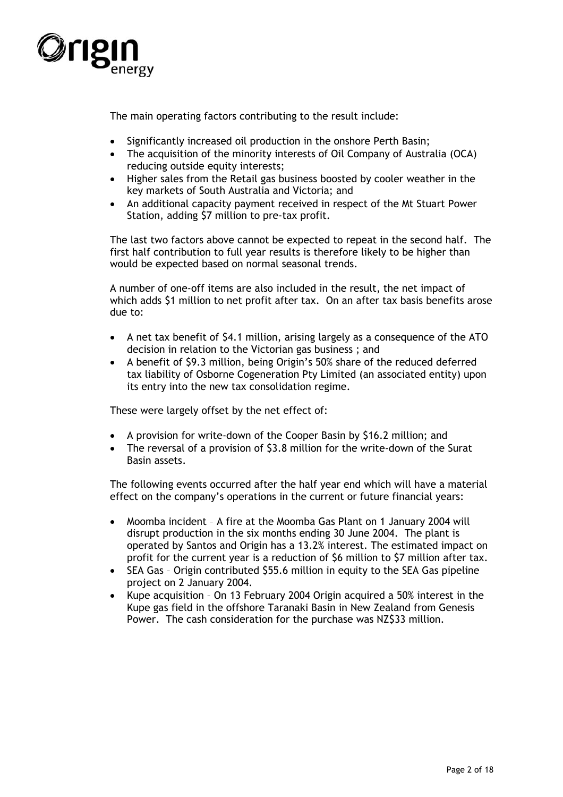

The main operating factors contributing to the result include:

- Significantly increased oil production in the onshore Perth Basin;
- The acquisition of the minority interests of Oil Company of Australia (OCA) reducing outside equity interests;
- Higher sales from the Retail gas business boosted by cooler weather in the key markets of South Australia and Victoria; and
- An additional capacity payment received in respect of the Mt Stuart Power Station, adding \$7 million to pre-tax profit.

The last two factors above cannot be expected to repeat in the second half. The first half contribution to full year results is therefore likely to be higher than would be expected based on normal seasonal trends.

A number of one-off items are also included in the result, the net impact of which adds \$1 million to net profit after tax. On an after tax basis benefits arose due to:

- A net tax benefit of \$4.1 million, arising largely as a consequence of the ATO decision in relation to the Victorian gas business ; and
- A benefit of \$9.3 million, being Origin's 50% share of the reduced deferred tax liability of Osborne Cogeneration Pty Limited (an associated entity) upon its entry into the new tax consolidation regime.

These were largely offset by the net effect of:

- A provision for write-down of the Cooper Basin by \$16.2 million; and
- The reversal of a provision of \$3.8 million for the write-down of the Surat Basin assets.

The following events occurred after the half year end which will have a material effect on the company's operations in the current or future financial years:

- Moomba incident A fire at the Moomba Gas Plant on 1 January 2004 will disrupt production in the six months ending 30 June 2004. The plant is operated by Santos and Origin has a 13.2% interest. The estimated impact on profit for the current year is a reduction of \$6 million to \$7 million after tax.
- SEA Gas Origin contributed \$55.6 million in equity to the SEA Gas pipeline project on 2 January 2004.
- Kupe acquisition On 13 February 2004 Origin acquired a 50% interest in the Kupe gas field in the offshore Taranaki Basin in New Zealand from Genesis Power. The cash consideration for the purchase was NZ\$33 million.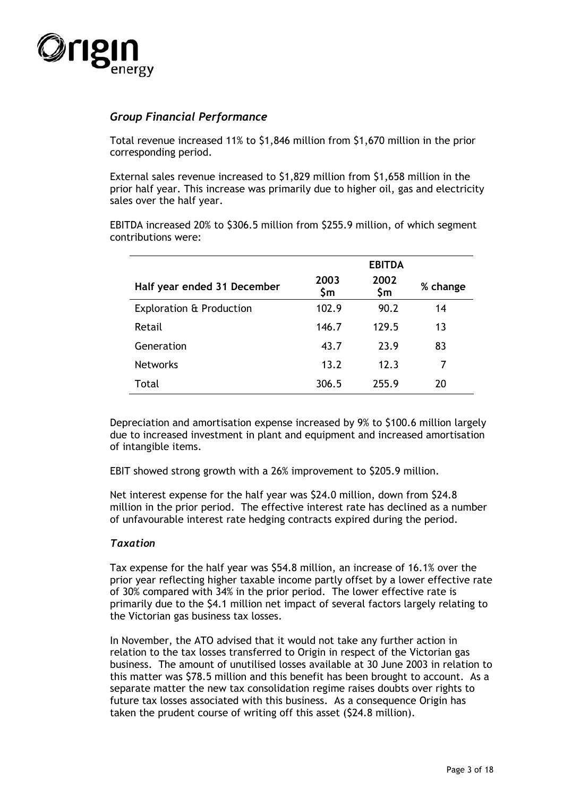

## *Group Financial Performance*

Total revenue increased 11% to \$1,846 million from \$1,670 million in the prior corresponding period.

External sales revenue increased to \$1,829 million from \$1,658 million in the prior half year. This increase was primarily due to higher oil, gas and electricity sales over the half year.

EBITDA increased 20% to \$306.5 million from \$255.9 million, of which segment contributions were:

|                                     |             | <b>EBITDA</b> |          |
|-------------------------------------|-------------|---------------|----------|
| Half year ended 31 December         | 2003<br>\$m | 2002<br>\$m   | % change |
| <b>Exploration &amp; Production</b> | 102.9       | 90.2          | 14       |
| Retail                              | 146.7       | 129.5         | 13       |
| Generation                          | 43.7        | 23.9          | 83       |
| <b>Networks</b>                     | 13.2        | 12.3          | 7        |
| Total                               | 306.5       | 255.9         | 20       |

Depreciation and amortisation expense increased by 9% to \$100.6 million largely due to increased investment in plant and equipment and increased amortisation of intangible items.

EBIT showed strong growth with a 26% improvement to \$205.9 million.

Net interest expense for the half year was \$24.0 million, down from \$24.8 million in the prior period. The effective interest rate has declined as a number of unfavourable interest rate hedging contracts expired during the period.

## *Taxation*

Tax expense for the half year was \$54.8 million, an increase of 16.1% over the prior year reflecting higher taxable income partly offset by a lower effective rate of 30% compared with 34% in the prior period. The lower effective rate is primarily due to the \$4.1 million net impact of several factors largely relating to the Victorian gas business tax losses.

In November, the ATO advised that it would not take any further action in relation to the tax losses transferred to Origin in respect of the Victorian gas business. The amount of unutilised losses available at 30 June 2003 in relation to this matter was \$78.5 million and this benefit has been brought to account. As a separate matter the new tax consolidation regime raises doubts over rights to future tax losses associated with this business. As a consequence Origin has taken the prudent course of writing off this asset (\$24.8 million).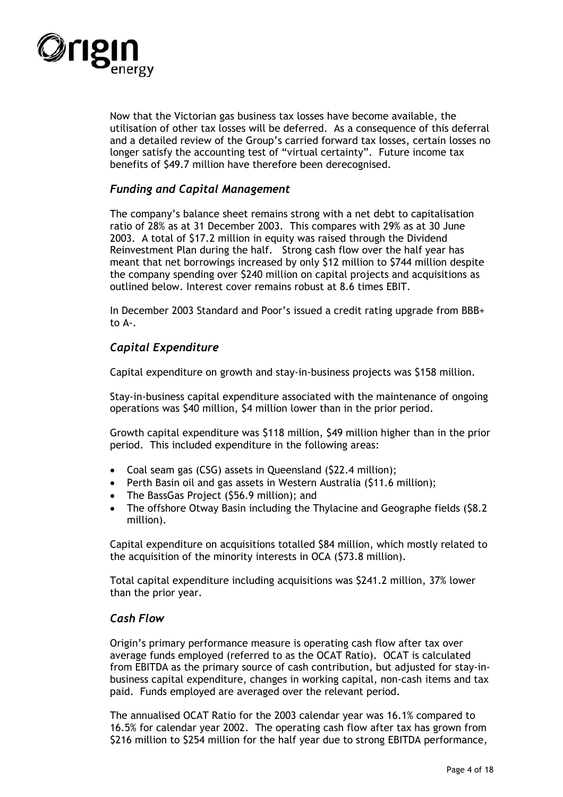

Now that the Victorian gas business tax losses have become available, the utilisation of other tax losses will be deferred. As a consequence of this deferral and a detailed review of the Group's carried forward tax losses, certain losses no longer satisfy the accounting test of "virtual certainty". Future income tax benefits of \$49.7 million have therefore been derecognised.

## *Funding and Capital Management*

The company's balance sheet remains strong with a net debt to capitalisation ratio of 28% as at 31 December 2003. This compares with 29% as at 30 June 2003. A total of \$17.2 million in equity was raised through the Dividend Reinvestment Plan during the half. Strong cash flow over the half year has meant that net borrowings increased by only \$12 million to \$744 million despite the company spending over \$240 million on capital projects and acquisitions as outlined below. Interest cover remains robust at 8.6 times EBIT.

In December 2003 Standard and Poor's issued a credit rating upgrade from BBB+ to A-.

# *Capital Expenditure*

Capital expenditure on growth and stay-in-business projects was \$158 million.

Stay-in-business capital expenditure associated with the maintenance of ongoing operations was \$40 million, \$4 million lower than in the prior period.

Growth capital expenditure was \$118 million, \$49 million higher than in the prior period. This included expenditure in the following areas:

- Coal seam gas (CSG) assets in Queensland (\$22.4 million);
- Perth Basin oil and gas assets in Western Australia (\$11.6 million);
- The BassGas Project (\$56.9 million); and
- The offshore Otway Basin including the Thylacine and Geographe fields (\$8.2 million).

Capital expenditure on acquisitions totalled \$84 million, which mostly related to the acquisition of the minority interests in OCA (\$73.8 million).

Total capital expenditure including acquisitions was \$241.2 million, 37% lower than the prior year.

## *Cash Flow*

Origin's primary performance measure is operating cash flow after tax over average funds employed (referred to as the OCAT Ratio). OCAT is calculated from EBITDA as the primary source of cash contribution, but adjusted for stay-inbusiness capital expenditure, changes in working capital, non-cash items and tax paid. Funds employed are averaged over the relevant period.

The annualised OCAT Ratio for the 2003 calendar year was 16.1% compared to 16.5% for calendar year 2002. The operating cash flow after tax has grown from \$216 million to \$254 million for the half year due to strong EBITDA performance,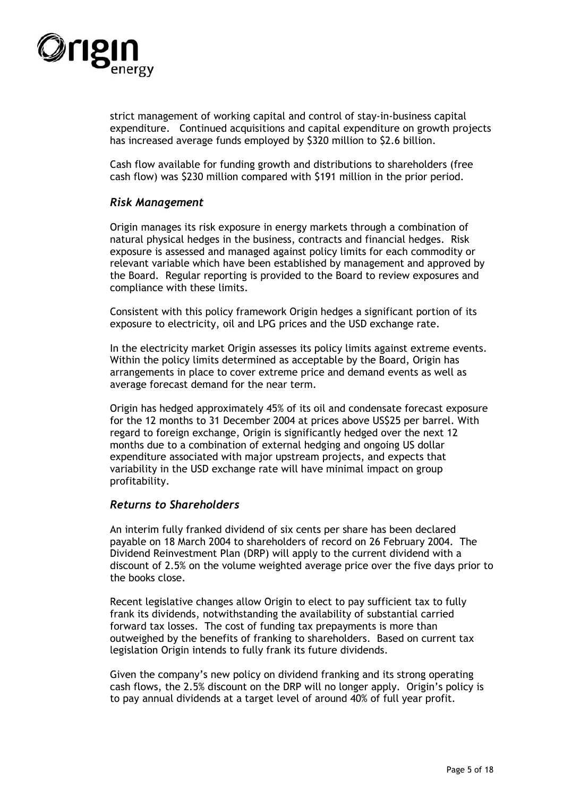

strict management of working capital and control of stay-in-business capital expenditure. Continued acquisitions and capital expenditure on growth projects has increased average funds employed by \$320 million to \$2.6 billion.

Cash flow available for funding growth and distributions to shareholders (free cash flow) was \$230 million compared with \$191 million in the prior period.

## *Risk Management*

Origin manages its risk exposure in energy markets through a combination of natural physical hedges in the business, contracts and financial hedges. Risk exposure is assessed and managed against policy limits for each commodity or relevant variable which have been established by management and approved by the Board. Regular reporting is provided to the Board to review exposures and compliance with these limits.

Consistent with this policy framework Origin hedges a significant portion of its exposure to electricity, oil and LPG prices and the USD exchange rate.

In the electricity market Origin assesses its policy limits against extreme events. Within the policy limits determined as acceptable by the Board, Origin has arrangements in place to cover extreme price and demand events as well as average forecast demand for the near term.

Origin has hedged approximately 45% of its oil and condensate forecast exposure for the 12 months to 31 December 2004 at prices above US\$25 per barrel. With regard to foreign exchange, Origin is significantly hedged over the next 12 months due to a combination of external hedging and ongoing US dollar expenditure associated with major upstream projects, and expects that variability in the USD exchange rate will have minimal impact on group profitability.

#### *Returns to Shareholders*

An interim fully franked dividend of six cents per share has been declared payable on 18 March 2004 to shareholders of record on 26 February 2004. The Dividend Reinvestment Plan (DRP) will apply to the current dividend with a discount of 2.5% on the volume weighted average price over the five days prior to the books close.

Recent legislative changes allow Origin to elect to pay sufficient tax to fully frank its dividends, notwithstanding the availability of substantial carried forward tax losses. The cost of funding tax prepayments is more than outweighed by the benefits of franking to shareholders. Based on current tax legislation Origin intends to fully frank its future dividends.

Given the company's new policy on dividend franking and its strong operating cash flows, the 2.5% discount on the DRP will no longer apply. Origin's policy is to pay annual dividends at a target level of around 40% of full year profit.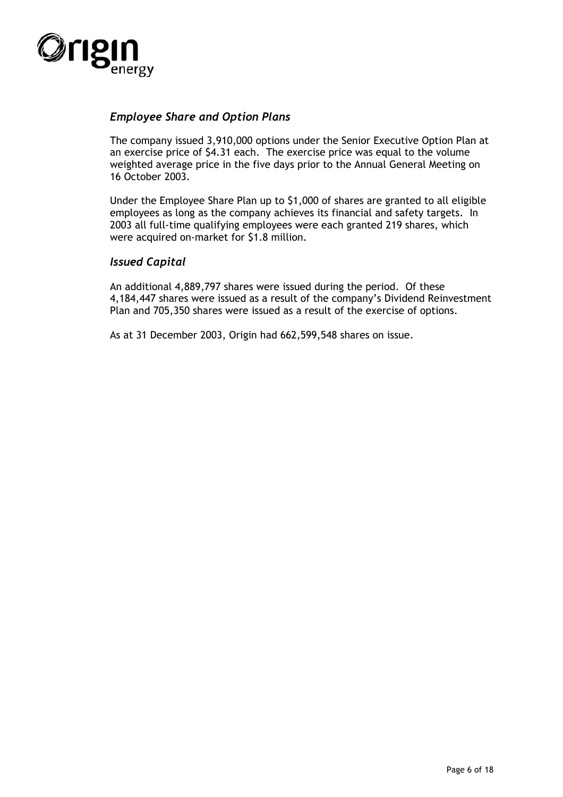

## *Employee Share and Option Plans*

The company issued 3,910,000 options under the Senior Executive Option Plan at an exercise price of \$4.31 each. The exercise price was equal to the volume weighted average price in the five days prior to the Annual General Meeting on 16 October 2003.

Under the Employee Share Plan up to \$1,000 of shares are granted to all eligible employees as long as the company achieves its financial and safety targets. In 2003 all full-time qualifying employees were each granted 219 shares, which were acquired on-market for \$1.8 million.

## *Issued Capital*

An additional 4,889,797 shares were issued during the period. Of these 4,184,447 shares were issued as a result of the company's Dividend Reinvestment Plan and 705,350 shares were issued as a result of the exercise of options.

As at 31 December 2003, Origin had 662,599,548 shares on issue.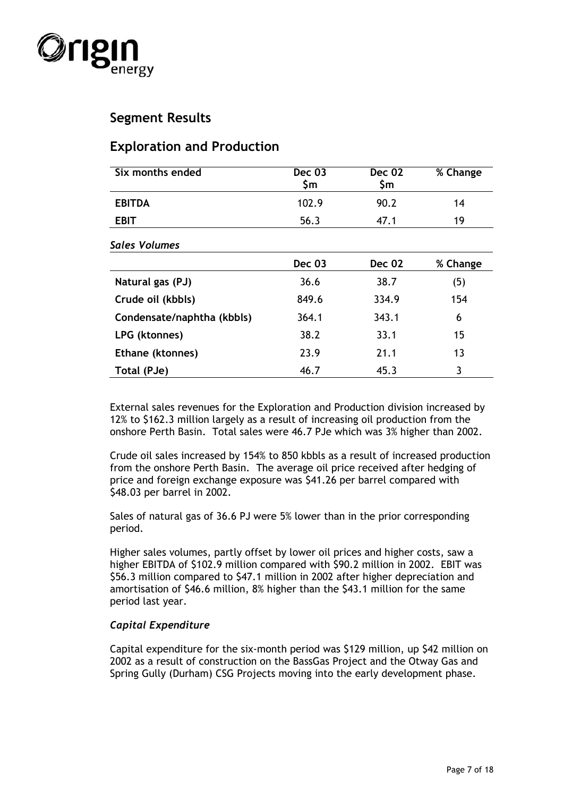

# **Segment Results**

# **Exploration and Production**

| Six months ended           | <b>Dec 03</b><br>\$m | <b>Dec 02</b><br>\$m | % Change |
|----------------------------|----------------------|----------------------|----------|
| <b>EBITDA</b>              | 102.9                | 90.2                 | 14       |
| <b>EBIT</b>                | 56.3                 | 47.1                 | 19       |
| <b>Sales Volumes</b>       |                      |                      |          |
|                            | <b>Dec 03</b>        | <b>Dec 02</b>        | % Change |
| Natural gas (PJ)           | 36.6                 | 38.7                 | (5)      |
| Crude oil (kbbls)          | 849.6                | 334.9                | 154      |
| Condensate/naphtha (kbbls) | 364.1                | 343.1                | 6        |
| LPG (ktonnes)              | 38.2                 | 33.1                 | 15       |
| Ethane (ktonnes)           | 23.9                 | 21.1                 | 13       |
| Total (PJe)                | 46.7                 | 45.3                 | 3        |

External sales revenues for the Exploration and Production division increased by 12% to \$162.3 million largely as a result of increasing oil production from the onshore Perth Basin. Total sales were 46.7 PJe which was 3% higher than 2002.

Crude oil sales increased by 154% to 850 kbbls as a result of increased production from the onshore Perth Basin. The average oil price received after hedging of price and foreign exchange exposure was \$41.26 per barrel compared with \$48.03 per barrel in 2002.

Sales of natural gas of 36.6 PJ were 5% lower than in the prior corresponding period.

Higher sales volumes, partly offset by lower oil prices and higher costs, saw a higher EBITDA of \$102.9 million compared with \$90.2 million in 2002. EBIT was \$56.3 million compared to \$47.1 million in 2002 after higher depreciation and amortisation of \$46.6 million, 8% higher than the \$43.1 million for the same period last year.

## *Capital Expenditure*

Capital expenditure for the six-month period was \$129 million, up \$42 million on 2002 as a result of construction on the BassGas Project and the Otway Gas and Spring Gully (Durham) CSG Projects moving into the early development phase.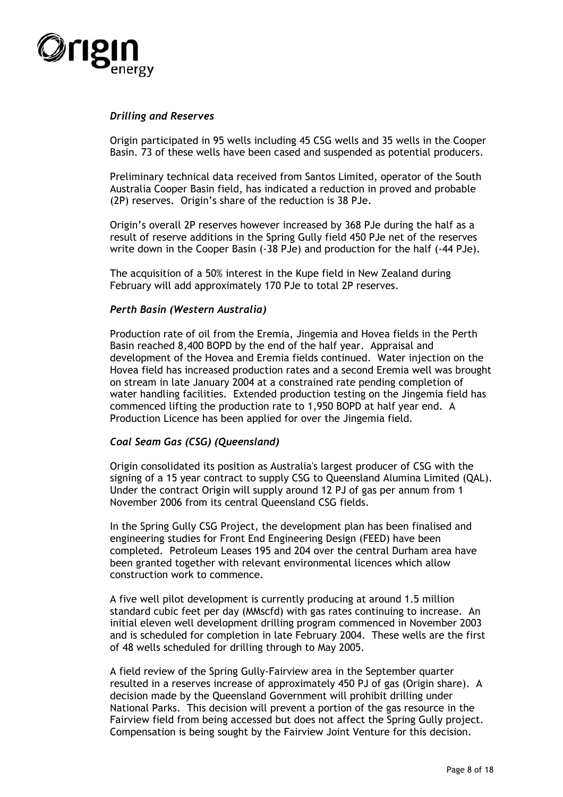

### *Drilling and Reserves*

Origin participated in 95 wells including 45 CSG wells and 35 wells in the Cooper Basin. 73 of these wells have been cased and suspended as potential producers.

Preliminary technical data received from Santos Limited, operator of the South Australia Cooper Basin field, has indicated a reduction in proved and probable (2P) reserves. Origin's share of the reduction is 38 PJe.

Origin's overall 2P reserves however increased by 368 PJe during the half as a result of reserve additions in the Spring Gully field 450 PJe net of the reserves write down in the Cooper Basin (-38 PJe) and production for the half (-44 PJe).

The acquisition of a 50% interest in the Kupe field in New Zealand during February will add approximately 170 PJe to total 2P reserves.

#### *Perth Basin (Western Australia)*

Production rate of oil from the Eremia, Jingemia and Hovea fields in the Perth Basin reached 8,400 BOPD by the end of the half year. Appraisal and development of the Hovea and Eremia fields continued. Water injection on the Hovea field has increased production rates and a second Eremia well was brought on stream in late January 2004 at a constrained rate pending completion of water handling facilities. Extended production testing on the Jingemia field has commenced lifting the production rate to 1,950 BOPD at half year end. A Production Licence has been applied for over the Jingemia field.

#### *Coal Seam Gas (CSG) (Queensland)*

Origin consolidated its position as Australia's largest producer of CSG with the signing of a 15 year contract to supply CSG to Queensland Alumina Limited (QAL). Under the contract Origin will supply around 12 PJ of gas per annum from 1 November 2006 from its central Queensland CSG fields.

In the Spring Gully CSG Project, the development plan has been finalised and engineering studies for Front End Engineering Design (FEED) have been completed. Petroleum Leases 195 and 204 over the central Durham area have been granted together with relevant environmental licences which allow construction work to commence.

A five well pilot development is currently producing at around 1.5 million standard cubic feet per day (MMscfd) with gas rates continuing to increase. An initial eleven well development drilling program commenced in November 2003 and is scheduled for completion in late February 2004. These wells are the first of 48 wells scheduled for drilling through to May 2005.

A field review of the Spring Gully-Fairview area in the September quarter resulted in a reserves increase of approximately 450 PJ of gas (Origin share). A decision made by the Queensland Government will prohibit drilling under National Parks. This decision will prevent a portion of the gas resource in the Fairview field from being accessed but does not affect the Spring Gully project. Compensation is being sought by the Fairview Joint Venture for this decision.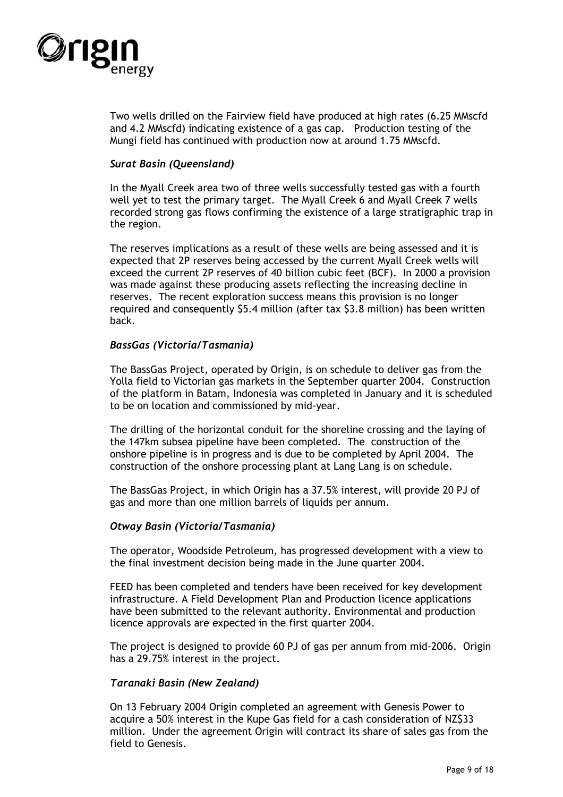

Two wells drilled on the Fairview field have produced at high rates (6.25 MMscfd and 4.2 MMscfd) indicating existence of a gas cap. Production testing of the Mungi field has continued with production now at around 1.75 MMscfd.

### *Surat Basin (Queensland)*

In the Myall Creek area two of three wells successfully tested gas with a fourth well yet to test the primary target. The Myall Creek 6 and Myall Creek 7 wells recorded strong gas flows confirming the existence of a large stratigraphic trap in the region.

The reserves implications as a result of these wells are being assessed and it is expected that 2P reserves being accessed by the current Myall Creek wells will exceed the current 2P reserves of 40 billion cubic feet (BCF). In 2000 a provision was made against these producing assets reflecting the increasing decline in reserves. The recent exploration success means this provision is no longer required and consequently \$5.4 million (after tax \$3.8 million) has been written back.

## *BassGas (Victoria/Tasmania)*

The BassGas Project, operated by Origin, is on schedule to deliver gas from the Yolla field to Victorian gas markets in the September quarter 2004. Construction of the platform in Batam, Indonesia was completed in January and it is scheduled to be on location and commissioned by mid-year.

The drilling of the horizontal conduit for the shoreline crossing and the laying of the 147km subsea pipeline have been completed. The construction of the onshore pipeline is in progress and is due to be completed by April 2004. The construction of the onshore processing plant at Lang Lang is on schedule.

The BassGas Project, in which Origin has a 37.5% interest, will provide 20 PJ of gas and more than one million barrels of liquids per annum.

#### *Otway Basin (Victoria/Tasmania)*

The operator, Woodside Petroleum, has progressed development with a view to the final investment decision being made in the June quarter 2004.

FEED has been completed and tenders have been received for key development infrastructure. A Field Development Plan and Production licence applications have been submitted to the relevant authority. Environmental and production licence approvals are expected in the first quarter 2004.

The project is designed to provide 60 PJ of gas per annum from mid-2006. Origin has a 29.75% interest in the project.

#### *Taranaki Basin (New Zealand)*

On 13 February 2004 Origin completed an agreement with Genesis Power to acquire a 50% interest in the Kupe Gas field for a cash consideration of NZ\$33 million. Under the agreement Origin will contract its share of sales gas from the field to Genesis.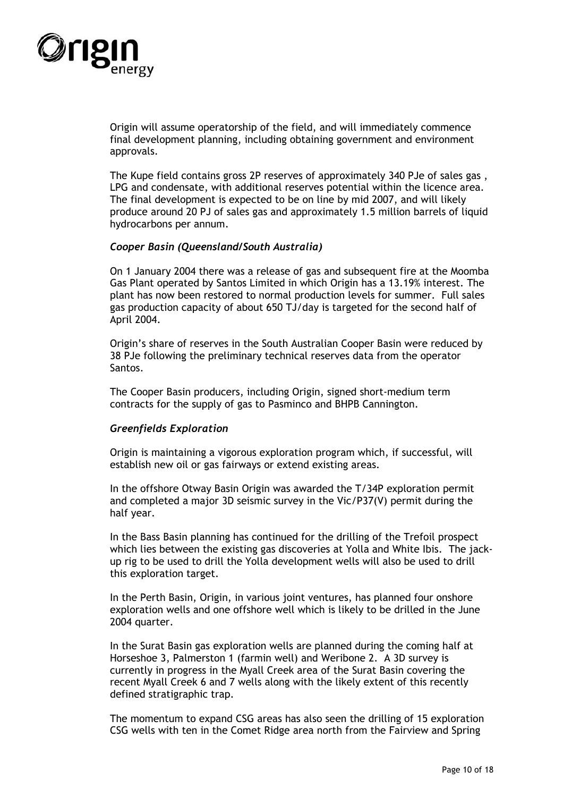

Origin will assume operatorship of the field, and will immediately commence final development planning, including obtaining government and environment approvals.

The Kupe field contains gross 2P reserves of approximately 340 PJe of sales gas , LPG and condensate, with additional reserves potential within the licence area. The final development is expected to be on line by mid 2007, and will likely produce around 20 PJ of sales gas and approximately 1.5 million barrels of liquid hydrocarbons per annum.

#### *Cooper Basin (Queensland/South Australia)*

On 1 January 2004 there was a release of gas and subsequent fire at the Moomba Gas Plant operated by Santos Limited in which Origin has a 13.19% interest. The plant has now been restored to normal production levels for summer. Full sales gas production capacity of about 650 TJ/day is targeted for the second half of April 2004.

Origin's share of reserves in the South Australian Cooper Basin were reduced by 38 PJe following the preliminary technical reserves data from the operator Santos.

The Cooper Basin producers, including Origin, signed short-medium term contracts for the supply of gas to Pasminco and BHPB Cannington.

#### *Greenfields Exploration*

Origin is maintaining a vigorous exploration program which, if successful, will establish new oil or gas fairways or extend existing areas.

In the offshore Otway Basin Origin was awarded the T/34P exploration permit and completed a major 3D seismic survey in the Vic/P37(V) permit during the half year.

In the Bass Basin planning has continued for the drilling of the Trefoil prospect which lies between the existing gas discoveries at Yolla and White Ibis. The jackup rig to be used to drill the Yolla development wells will also be used to drill this exploration target.

In the Perth Basin, Origin, in various joint ventures, has planned four onshore exploration wells and one offshore well which is likely to be drilled in the June 2004 quarter.

In the Surat Basin gas exploration wells are planned during the coming half at Horseshoe 3, Palmerston 1 (farmin well) and Weribone 2. A 3D survey is currently in progress in the Myall Creek area of the Surat Basin covering the recent Myall Creek 6 and 7 wells along with the likely extent of this recently defined stratigraphic trap.

The momentum to expand CSG areas has also seen the drilling of 15 exploration CSG wells with ten in the Comet Ridge area north from the Fairview and Spring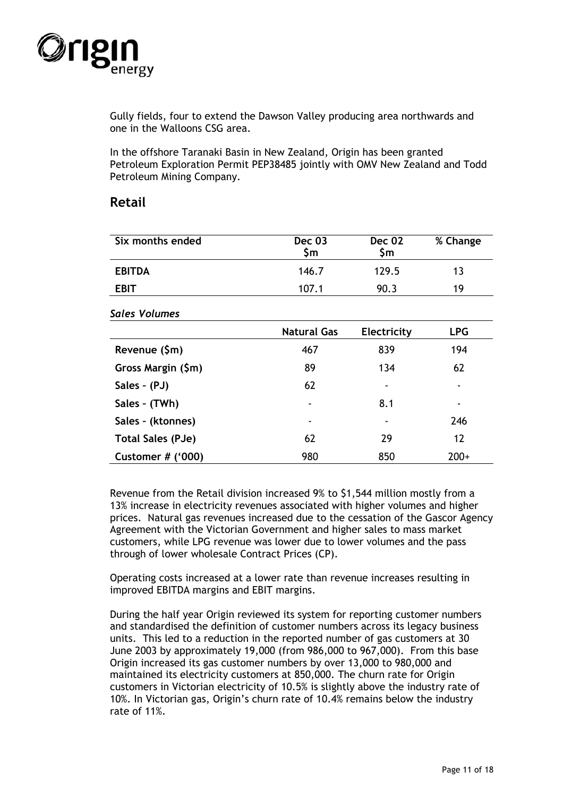

Gully fields, four to extend the Dawson Valley producing area northwards and one in the Walloons CSG area.

In the offshore Taranaki Basin in New Zealand, Origin has been granted Petroleum Exploration Permit PEP38485 jointly with OMV New Zealand and Todd Petroleum Mining Company.

## **Retail**

| Six months ended | Dec 03<br>\$m | <b>Dec 02</b><br>\$m | % Change |
|------------------|---------------|----------------------|----------|
| <b>EBITDA</b>    | 146.7         | 129.5                | 13       |
| <b>EBIT</b>      | 107.1         | 90.3                 | 19       |

#### *Sales Volumes*

|                          | <b>Natural Gas</b> | <b>Electricity</b> | <b>LPG</b>               |
|--------------------------|--------------------|--------------------|--------------------------|
| Revenue (\$m)            | 467                | 839                | 194                      |
| Gross Margin (\$m)       | 89                 | 134                | 62                       |
| Sales - (PJ)             | 62                 | ۰                  | ۰                        |
| Sales - (TWh)            | ٠                  | 8.1                | $\overline{\phantom{0}}$ |
| Sales - (ktonnes)        | ٠                  | ۰                  | 246                      |
| <b>Total Sales (PJe)</b> | 62                 | 29                 | 12                       |
| Customer $#$ ('000)      | 980                | 850                | $200+$                   |

Revenue from the Retail division increased 9% to \$1,544 million mostly from a 13% increase in electricity revenues associated with higher volumes and higher prices. Natural gas revenues increased due to the cessation of the Gascor Agency Agreement with the Victorian Government and higher sales to mass market customers, while LPG revenue was lower due to lower volumes and the pass through of lower wholesale Contract Prices (CP).

Operating costs increased at a lower rate than revenue increases resulting in improved EBITDA margins and EBIT margins.

During the half year Origin reviewed its system for reporting customer numbers and standardised the definition of customer numbers across its legacy business units. This led to a reduction in the reported number of gas customers at 30 June 2003 by approximately 19,000 (from 986,000 to 967,000). From this base Origin increased its gas customer numbers by over 13,000 to 980,000 and maintained its electricity customers at 850,000. The churn rate for Origin customers in Victorian electricity of 10.5% is slightly above the industry rate of 10%. In Victorian gas, Origin's churn rate of 10.4% remains below the industry rate of 11%.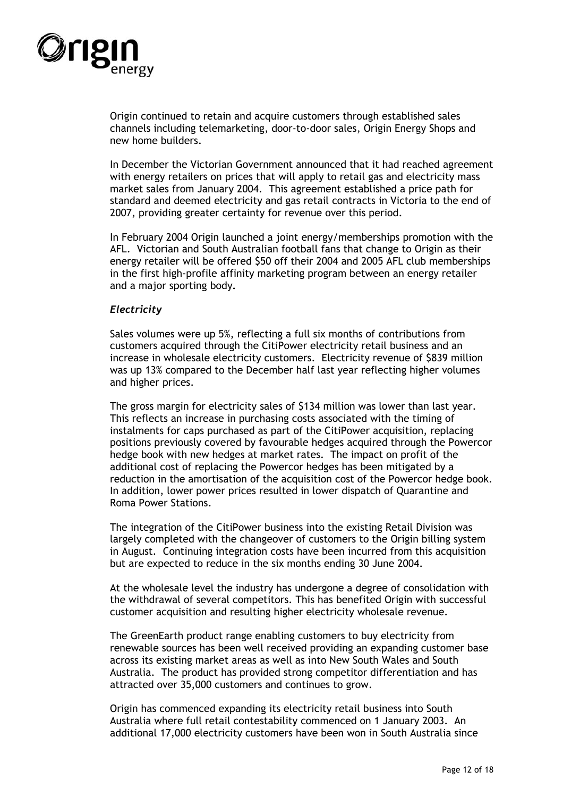

Origin continued to retain and acquire customers through established sales channels including telemarketing, door-to-door sales, Origin Energy Shops and new home builders.

In December the Victorian Government announced that it had reached agreement with energy retailers on prices that will apply to retail gas and electricity mass market sales from January 2004. This agreement established a price path for standard and deemed electricity and gas retail contracts in Victoria to the end of 2007, providing greater certainty for revenue over this period.

In February 2004 Origin launched a joint energy/memberships promotion with the AFL. Victorian and South Australian football fans that change to Origin as their energy retailer will be offered \$50 off their 2004 and 2005 AFL club memberships in the first high-profile affinity marketing program between an energy retailer and a major sporting body**.**

#### *Electricity*

Sales volumes were up 5%, reflecting a full six months of contributions from customers acquired through the CitiPower electricity retail business and an increase in wholesale electricity customers. Electricity revenue of \$839 million was up 13% compared to the December half last year reflecting higher volumes and higher prices.

The gross margin for electricity sales of \$134 million was lower than last year. This reflects an increase in purchasing costs associated with the timing of instalments for caps purchased as part of the CitiPower acquisition, replacing positions previously covered by favourable hedges acquired through the Powercor hedge book with new hedges at market rates. The impact on profit of the additional cost of replacing the Powercor hedges has been mitigated by a reduction in the amortisation of the acquisition cost of the Powercor hedge book. In addition, lower power prices resulted in lower dispatch of Quarantine and Roma Power Stations.

The integration of the CitiPower business into the existing Retail Division was largely completed with the changeover of customers to the Origin billing system in August. Continuing integration costs have been incurred from this acquisition but are expected to reduce in the six months ending 30 June 2004.

At the wholesale level the industry has undergone a degree of consolidation with the withdrawal of several competitors. This has benefited Origin with successful customer acquisition and resulting higher electricity wholesale revenue.

The GreenEarth product range enabling customers to buy electricity from renewable sources has been well received providing an expanding customer base across its existing market areas as well as into New South Wales and South Australia. The product has provided strong competitor differentiation and has attracted over 35,000 customers and continues to grow.

Origin has commenced expanding its electricity retail business into South Australia where full retail contestability commenced on 1 January 2003. An additional 17,000 electricity customers have been won in South Australia since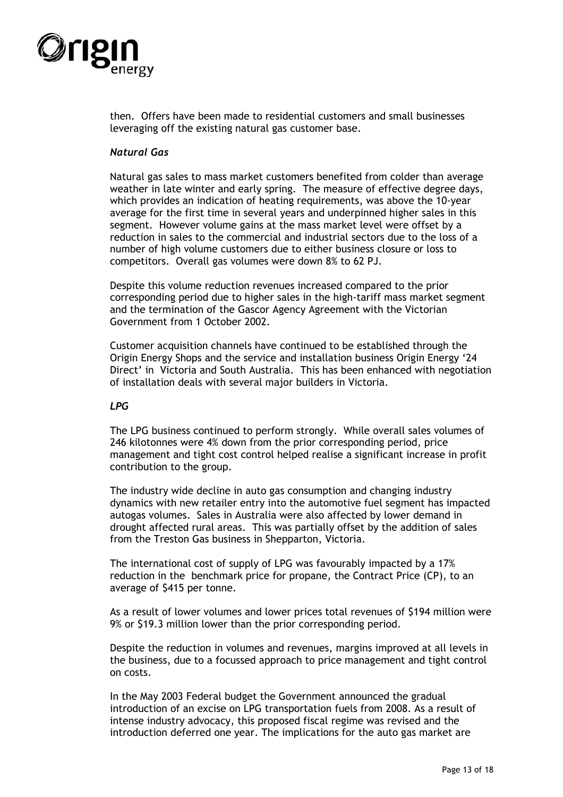

then. Offers have been made to residential customers and small businesses leveraging off the existing natural gas customer base.

### *Natural Gas*

Natural gas sales to mass market customers benefited from colder than average weather in late winter and early spring. The measure of effective degree days, which provides an indication of heating requirements, was above the 10-year average for the first time in several years and underpinned higher sales in this segment. However volume gains at the mass market level were offset by a reduction in sales to the commercial and industrial sectors due to the loss of a number of high volume customers due to either business closure or loss to competitors. Overall gas volumes were down 8% to 62 PJ.

Despite this volume reduction revenues increased compared to the prior corresponding period due to higher sales in the high-tariff mass market segment and the termination of the Gascor Agency Agreement with the Victorian Government from 1 October 2002.

Customer acquisition channels have continued to be established through the Origin Energy Shops and the service and installation business Origin Energy '24 Direct' in Victoria and South Australia. This has been enhanced with negotiation of installation deals with several major builders in Victoria.

#### *LPG*

The LPG business continued to perform strongly. While overall sales volumes of 246 kilotonnes were 4% down from the prior corresponding period, price management and tight cost control helped realise a significant increase in profit contribution to the group.

The industry wide decline in auto gas consumption and changing industry dynamics with new retailer entry into the automotive fuel segment has impacted autogas volumes. Sales in Australia were also affected by lower demand in drought affected rural areas. This was partially offset by the addition of sales from the Treston Gas business in Shepparton, Victoria.

The international cost of supply of LPG was favourably impacted by a 17% reduction in the benchmark price for propane, the Contract Price (CP), to an average of \$415 per tonne.

As a result of lower volumes and lower prices total revenues of \$194 million were 9% or \$19.3 million lower than the prior corresponding period.

Despite the reduction in volumes and revenues, margins improved at all levels in the business, due to a focussed approach to price management and tight control on costs.

In the May 2003 Federal budget the Government announced the gradual introduction of an excise on LPG transportation fuels from 2008. As a result of intense industry advocacy, this proposed fiscal regime was revised and the introduction deferred one year. The implications for the auto gas market are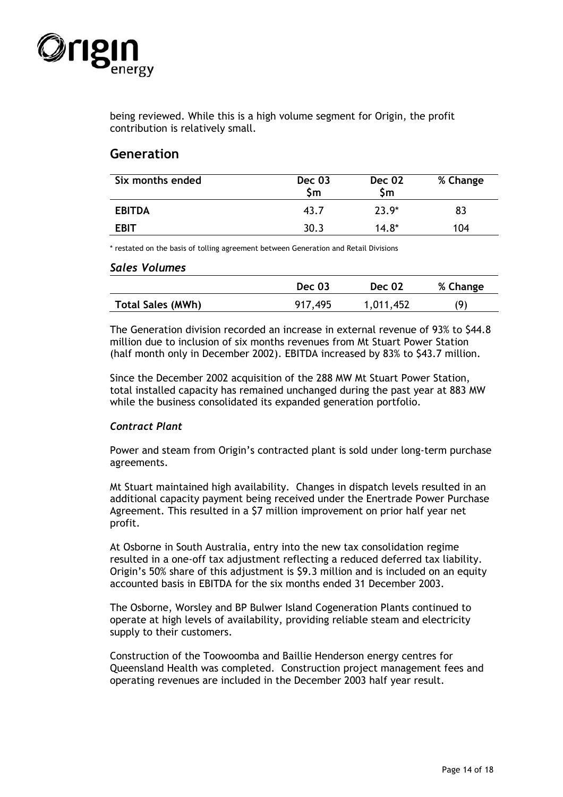

being reviewed. While this is a high volume segment for Origin, the profit contribution is relatively small.

# **Generation**

| Six months ended | Dec 03<br>\$m | <b>Dec 02</b><br>Sm | % Change |
|------------------|---------------|---------------------|----------|
| <b>EBITDA</b>    | 43.7          | 23.9 <sup>*</sup>   | 83       |
| <b>EBIT</b>      | 30.3          | $14.8*$             | 104      |

\* restated on the basis of tolling agreement between Generation and Retail Divisions

#### *Sales Volumes*

|                          | <b>Dec 03</b> | <b>Dec 02</b> | % Change |
|--------------------------|---------------|---------------|----------|
| <b>Total Sales (MWh)</b> | 917,495       | 1,011,452     | (9)      |

The Generation division recorded an increase in external revenue of 93% to \$44.8 million due to inclusion of six months revenues from Mt Stuart Power Station (half month only in December 2002). EBITDA increased by 83% to \$43.7 million.

Since the December 2002 acquisition of the 288 MW Mt Stuart Power Station, total installed capacity has remained unchanged during the past year at 883 MW while the business consolidated its expanded generation portfolio.

## *Contract Plant*

Power and steam from Origin's contracted plant is sold under long-term purchase agreements.

Mt Stuart maintained high availability. Changes in dispatch levels resulted in an additional capacity payment being received under the Enertrade Power Purchase Agreement. This resulted in a \$7 million improvement on prior half year net profit.

At Osborne in South Australia, entry into the new tax consolidation regime resulted in a one-off tax adjustment reflecting a reduced deferred tax liability. Origin's 50% share of this adjustment is \$9.3 million and is included on an equity accounted basis in EBITDA for the six months ended 31 December 2003.

The Osborne, Worsley and BP Bulwer Island Cogeneration Plants continued to operate at high levels of availability, providing reliable steam and electricity supply to their customers.

Construction of the Toowoomba and Baillie Henderson energy centres for Queensland Health was completed. Construction project management fees and operating revenues are included in the December 2003 half year result.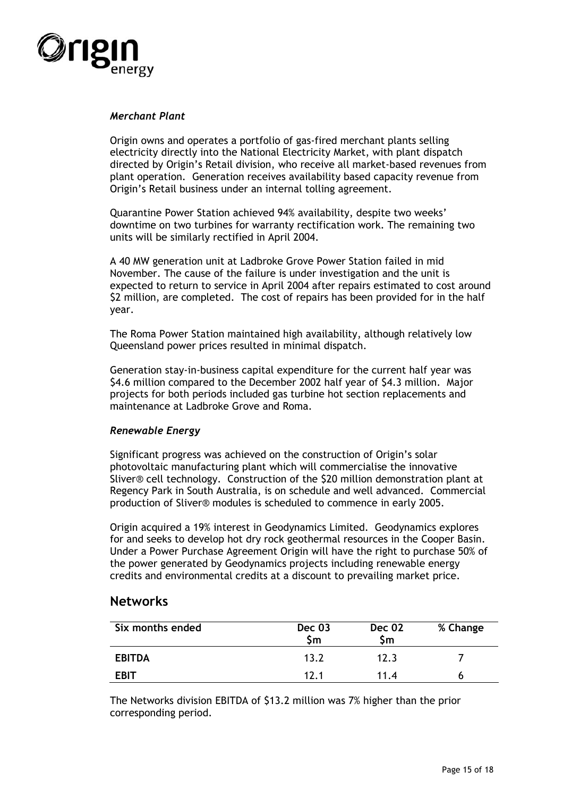

### *Merchant Plant*

Origin owns and operates a portfolio of gas-fired merchant plants selling electricity directly into the National Electricity Market, with plant dispatch directed by Origin's Retail division, who receive all market-based revenues from plant operation. Generation receives availability based capacity revenue from Origin's Retail business under an internal tolling agreement.

Quarantine Power Station achieved 94% availability, despite two weeks' downtime on two turbines for warranty rectification work. The remaining two units will be similarly rectified in April 2004.

A 40 MW generation unit at Ladbroke Grove Power Station failed in mid November. The cause of the failure is under investigation and the unit is expected to return to service in April 2004 after repairs estimated to cost around \$2 million, are completed. The cost of repairs has been provided for in the half year.

The Roma Power Station maintained high availability, although relatively low Queensland power prices resulted in minimal dispatch.

Generation stay-in-business capital expenditure for the current half year was \$4.6 million compared to the December 2002 half year of \$4.3 million. Major projects for both periods included gas turbine hot section replacements and maintenance at Ladbroke Grove and Roma.

## *Renewable Energy*

Significant progress was achieved on the construction of Origin's solar photovoltaic manufacturing plant which will commercialise the innovative Sliver® cell technology. Construction of the \$20 million demonstration plant at Regency Park in South Australia, is on schedule and well advanced. Commercial production of Sliver® modules is scheduled to commence in early 2005.

Origin acquired a 19% interest in Geodynamics Limited. Geodynamics explores for and seeks to develop hot dry rock geothermal resources in the Cooper Basin. Under a Power Purchase Agreement Origin will have the right to purchase 50% of the power generated by Geodynamics projects including renewable energy credits and environmental credits at a discount to prevailing market price.

## **Networks**

| Six months ended | Dec 03<br>\$m   | <b>Dec 02</b><br>\$m | % Change |
|------------------|-----------------|----------------------|----------|
| <b>EBITDA</b>    | 13.2            | 12.3                 |          |
| <b>EBIT</b>      | 12 <sub>1</sub> | 11 4                 |          |

The Networks division EBITDA of \$13.2 million was 7% higher than the prior corresponding period.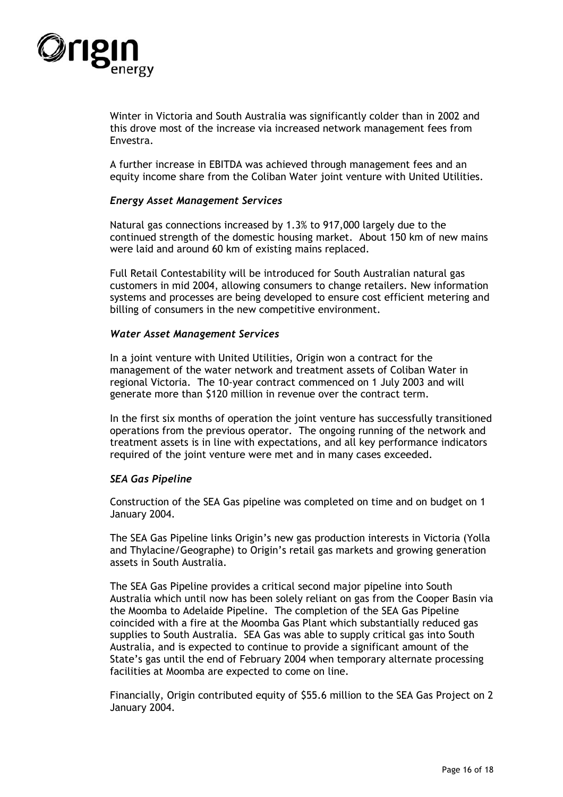

Winter in Victoria and South Australia was significantly colder than in 2002 and this drove most of the increase via increased network management fees from Envestra.

A further increase in EBITDA was achieved through management fees and an equity income share from the Coliban Water joint venture with United Utilities.

#### *Energy Asset Management Services*

Natural gas connections increased by 1.3% to 917,000 largely due to the continued strength of the domestic housing market. About 150 km of new mains were laid and around 60 km of existing mains replaced.

Full Retail Contestability will be introduced for South Australian natural gas customers in mid 2004, allowing consumers to change retailers. New information systems and processes are being developed to ensure cost efficient metering and billing of consumers in the new competitive environment.

#### *Water Asset Management Services*

In a joint venture with United Utilities, Origin won a contract for the management of the water network and treatment assets of Coliban Water in regional Victoria. The 10-year contract commenced on 1 July 2003 and will generate more than \$120 million in revenue over the contract term.

In the first six months of operation the joint venture has successfully transitioned operations from the previous operator. The ongoing running of the network and treatment assets is in line with expectations, and all key performance indicators required of the joint venture were met and in many cases exceeded.

#### *SEA Gas Pipeline*

Construction of the SEA Gas pipeline was completed on time and on budget on 1 January 2004.

The SEA Gas Pipeline links Origin's new gas production interests in Victoria (Yolla and Thylacine/Geographe) to Origin's retail gas markets and growing generation assets in South Australia.

The SEA Gas Pipeline provides a critical second major pipeline into South Australia which until now has been solely reliant on gas from the Cooper Basin via the Moomba to Adelaide Pipeline. The completion of the SEA Gas Pipeline coincided with a fire at the Moomba Gas Plant which substantially reduced gas supplies to South Australia. SEA Gas was able to supply critical gas into South Australia, and is expected to continue to provide a significant amount of the State's gas until the end of February 2004 when temporary alternate processing facilities at Moomba are expected to come on line.

Financially, Origin contributed equity of \$55.6 million to the SEA Gas Project on 2 January 2004.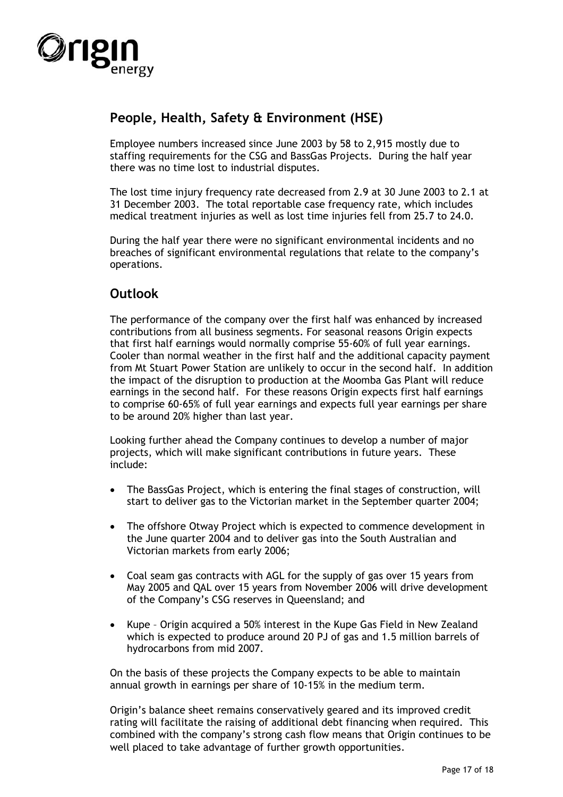

# **People, Health, Safety & Environment (HSE)**

Employee numbers increased since June 2003 by 58 to 2,915 mostly due to staffing requirements for the CSG and BassGas Projects. During the half year there was no time lost to industrial disputes.

The lost time injury frequency rate decreased from 2.9 at 30 June 2003 to 2.1 at 31 December 2003. The total reportable case frequency rate, which includes medical treatment injuries as well as lost time injuries fell from 25.7 to 24.0.

During the half year there were no significant environmental incidents and no breaches of significant environmental regulations that relate to the company's operations.

# **Outlook**

The performance of the company over the first half was enhanced by increased contributions from all business segments. For seasonal reasons Origin expects that first half earnings would normally comprise 55-60% of full year earnings. Cooler than normal weather in the first half and the additional capacity payment from Mt Stuart Power Station are unlikely to occur in the second half. In addition the impact of the disruption to production at the Moomba Gas Plant will reduce earnings in the second half. For these reasons Origin expects first half earnings to comprise 60-65% of full year earnings and expects full year earnings per share to be around 20% higher than last year.

Looking further ahead the Company continues to develop a number of major projects, which will make significant contributions in future years. These include:

- The BassGas Project, which is entering the final stages of construction, will start to deliver gas to the Victorian market in the September quarter 2004;
- The offshore Otway Project which is expected to commence development in the June quarter 2004 and to deliver gas into the South Australian and Victorian markets from early 2006;
- Coal seam gas contracts with AGL for the supply of gas over 15 years from May 2005 and QAL over 15 years from November 2006 will drive development of the Company's CSG reserves in Queensland; and
- Kupe Origin acquired a 50% interest in the Kupe Gas Field in New Zealand which is expected to produce around 20 PJ of gas and 1.5 million barrels of hydrocarbons from mid 2007.

On the basis of these projects the Company expects to be able to maintain annual growth in earnings per share of 10-15% in the medium term.

Origin's balance sheet remains conservatively geared and its improved credit rating will facilitate the raising of additional debt financing when required. This combined with the company's strong cash flow means that Origin continues to be well placed to take advantage of further growth opportunities.